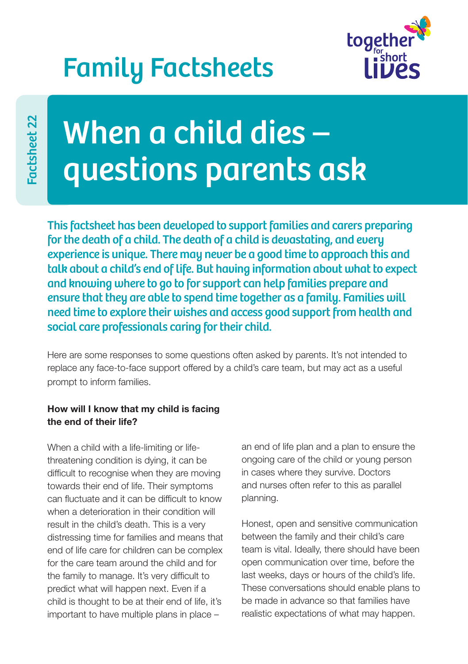## Family Factsheets



Factsheet 22 Factsheet 22

# When a child dies – questions parents ask

This factsheet has been developed to support families and carers preparing for the death of a child. The death of a child is devastating, and every experience is unique. There may never be a good time to approach this and talk about a child's end of life. But having information about what to expect and knowing where to go to for support can help families prepare and ensure that they are able to spend time together as a family. Families will need time to explore their wishes and access good support from health and social care professionals caring for their child.

Here are some responses to some questions often asked by parents. It's not intended to replace any face-to-face support offered by a child's care team, but may act as a useful prompt to inform families.

#### How will I know that my child is facing the end of their life?

When a child with a life-limiting or lifethreatening condition is dying, it can be difficult to recognise when they are moving towards their end of life. Their symptoms can fluctuate and it can be difficult to know when a deterioration in their condition will result in the child's death. This is a very distressing time for families and means that end of life care for children can be complex for the care team around the child and for the family to manage. It's very difficult to predict what will happen next. Even if a child is thought to be at their end of life, it's important to have multiple plans in place –

an end of life plan and a plan to ensure the ongoing care of the child or young person in cases where they survive. Doctors and nurses often refer to this as parallel planning.

Honest, open and sensitive communication between the family and their child's care team is vital. Ideally, there should have been open communication over time, before the last weeks, days or hours of the child's life. These conversations should enable plans to be made in advance so that families have realistic expectations of what may happen.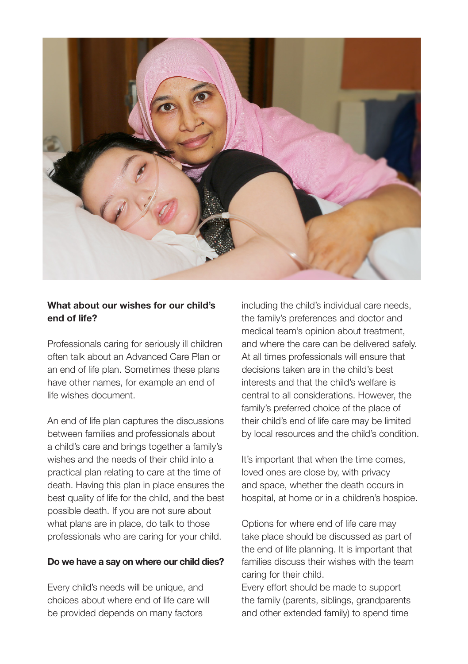

#### What about our wishes for our child's end of life?

Professionals caring for seriously ill children often talk about an Advanced Care Plan or an end of life plan. Sometimes these plans have other names, for example an end of life wishes document.

An end of life plan captures the discussions between families and professionals about a child's care and brings together a family's wishes and the needs of their child into a practical plan relating to care at the time of death. Having this plan in place ensures the best quality of life for the child, and the best possible death. If you are not sure about what plans are in place, do talk to those professionals who are caring for your child.

#### Do we have a say on where our child dies?

Every child's needs will be unique, and choices about where end of life care will be provided depends on many factors

including the child's individual care needs, the family's preferences and doctor and medical team's opinion about treatment, and where the care can be delivered safely. At all times professionals will ensure that decisions taken are in the child's best interests and that the child's welfare is central to all considerations. However, the family's preferred choice of the place of their child's end of life care may be limited by local resources and the child's condition.

It's important that when the time comes, loved ones are close by, with privacy and space, whether the death occurs in hospital, at home or in a children's hospice.

Options for where end of life care may take place should be discussed as part of the end of life planning. It is important that families discuss their wishes with the team caring for their child.

Every effort should be made to support the family (parents, siblings, grandparents and other extended family) to spend time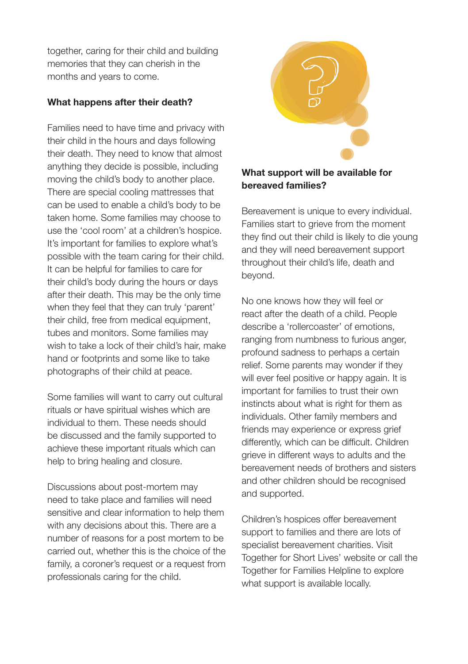together, caring for their child and building memories that they can cherish in the months and years to come.

#### What happens after their death?

Families need to have time and privacy with their child in the hours and days following their death. They need to know that almost anything they decide is possible, including moving the child's body to another place. There are special cooling mattresses that can be used to enable a child's body to be taken home. Some families may choose to use the 'cool room' at a children's hospice. It's important for families to explore what's possible with the team caring for their child. It can be helpful for families to care for their child's body during the hours or days after their death. This may be the only time when they feel that they can truly 'parent' their child, free from medical equipment, tubes and monitors. Some families may wish to take a lock of their child's hair, make hand or footprints and some like to take photographs of their child at peace.

Some families will want to carry out cultural rituals or have spiritual wishes which are individual to them. These needs should be discussed and the family supported to achieve these important rituals which can help to bring healing and closure.

Discussions about post-mortem may need to take place and families will need sensitive and clear information to help them with any decisions about this. There are a number of reasons for a post mortem to be carried out, whether this is the choice of the family, a coroner's request or a request from professionals caring for the child.



#### What support will be available for bereaved families?

Bereavement is unique to every individual. Families start to grieve from the moment they find out their child is likely to die young and they will need bereavement support throughout their child's life, death and beyond.

No one knows how they will feel or react after the death of a child. People describe a 'rollercoaster' of emotions, ranging from numbness to furious anger, profound sadness to perhaps a certain relief. Some parents may wonder if they will ever feel positive or happy again. It is important for families to trust their own instincts about what is right for them as individuals. Other family members and friends may experience or express grief differently, which can be difficult. Children grieve in different ways to adults and the bereavement needs of brothers and sisters and other children should be recognised and supported.

Children's hospices offer bereavement support to families and there are lots of specialist bereavement charities. Visit Together for Short Lives' website or call the Together for Families Helpline to explore what support is available locally.